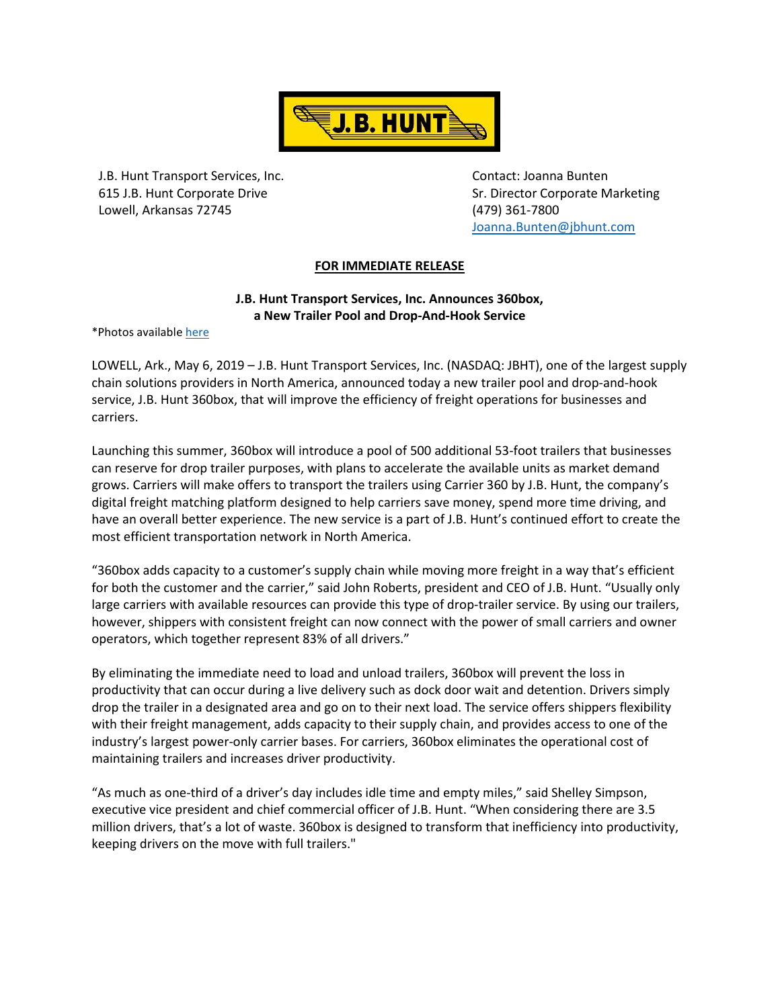

J.B. Hunt Transport Services, Inc. 615 J.B. Hunt Corporate Drive Lowell, Arkansas 72745

Contact: Joanna Bunten Sr. Director Corporate Marketing (479) 361-7800 [Joanna.Bunten@jbhunt.com](mailto:Joanna.Bunten@jbhunt.com)

## **FOR IMMEDIATE RELEASE**

## **J.B. Hunt Transport Services, Inc. Announces 360box, a New Trailer Pool and Drop-And-Hook Service**

\*Photos availabl[e here](https://drive.google.com/open?id=10pLa5xvbTJAS8_OqmXQkEyojBMuxqdx4)

LOWELL, Ark., May 6, 2019 – J.B. Hunt Transport Services, Inc. (NASDAQ: JBHT), one of the largest supply chain solutions providers in North America, announced today a new trailer pool and drop-and-hook service, J.B. Hunt 360box, that will improve the efficiency of freight operations for businesses and carriers.

Launching this summer, 360box will introduce a pool of 500 additional 53-foot trailers that businesses can reserve for drop trailer purposes, with plans to accelerate the available units as market demand grows. Carriers will make offers to transport the trailers using Carrier 360 by J.B. Hunt, the company's digital freight matching platform designed to help carriers save money, spend more time driving, and have an overall better experience. The new service is a part of J.B. Hunt's continued effort to create the most efficient transportation network in North America.

"360box adds capacity to a customer's supply chain while moving more freight in a way that's efficient for both the customer and the carrier," said John Roberts, president and CEO of J.B. Hunt. "Usually only large carriers with available resources can provide this type of drop-trailer service. By using our trailers, however, shippers with consistent freight can now connect with the power of small carriers and owner operators, which together represent 83% of all drivers."

By eliminating the immediate need to load and unload trailers, 360box will prevent the loss in productivity that can occur during a live delivery such as dock door wait and detention. Drivers simply drop the trailer in a designated area and go on to their next load. The service offers shippers flexibility with their freight management, adds capacity to their supply chain, and provides access to one of the industry's largest power-only carrier bases. For carriers, 360box eliminates the operational cost of maintaining trailers and increases driver productivity.

"As much as one-third of a driver's day includes idle time and empty miles," said Shelley Simpson, executive vice president and chief commercial officer of J.B. Hunt. "When considering there are 3.5 million drivers, that's a lot of waste. 360box is designed to transform that inefficiency into productivity, keeping drivers on the move with full trailers."